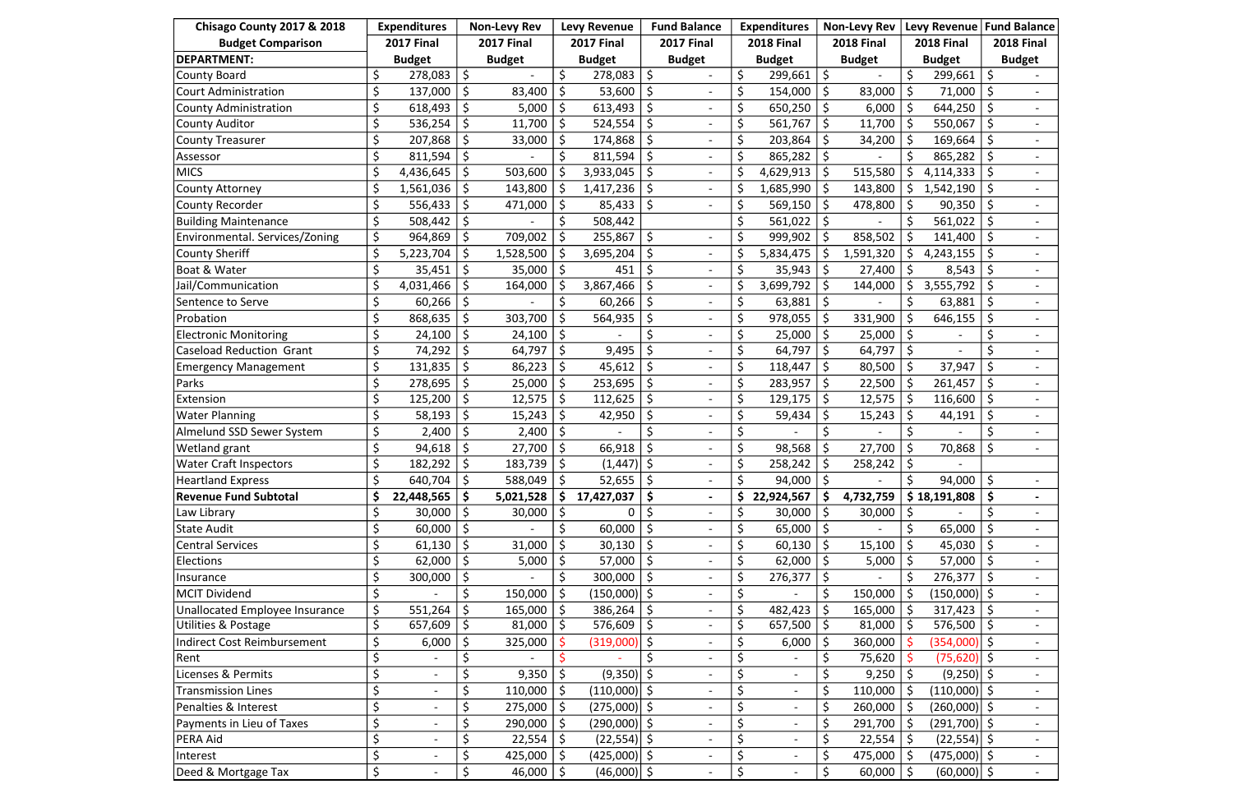| Chisago County 2017 & 2018      | <b>Expenditures</b><br><b>Non-Levy Rev</b> |                          |               | <b>Levy Revenue</b> |                   | <b>Fund Balance</b> |                   | <b>Expenditures</b>          |                   | <b>Non-Levy Rev</b>      |                   | <b>Levy Revenue</b> |                   | <b>Fund Balance</b> |                   |                |
|---------------------------------|--------------------------------------------|--------------------------|---------------|---------------------|-------------------|---------------------|-------------------|------------------------------|-------------------|--------------------------|-------------------|---------------------|-------------------|---------------------|-------------------|----------------|
| <b>Budget Comparison</b>        |                                            | <b>2017 Final</b>        |               | <b>2017 Final</b>   | <b>2017 Final</b> |                     | <b>2017 Final</b> |                              | <b>2018 Final</b> |                          | <b>2018 Final</b> |                     | <b>2018 Final</b> |                     | <b>2018 Final</b> |                |
| <b>DEPARTMENT:</b>              |                                            | <b>Budget</b>            | <b>Budget</b> |                     | <b>Budget</b>     |                     | <b>Budget</b>     |                              | <b>Budget</b>     |                          | <b>Budget</b>     |                     | <b>Budget</b>     |                     | <b>Budget</b>     |                |
| <b>County Board</b>             | \$                                         | 278,083                  | \$            |                     | \$                | 278,083             | \$                |                              | \$                | 299,661                  | \$                |                     | \$                | 299,661             | \$                |                |
| <b>Court Administration</b>     | \$                                         | 137,000                  | \$            | 83,400              |                   | 53,600              | \$                |                              |                   | 154,000                  | \$                | 83,000              |                   | 71,000              |                   |                |
| <b>County Administration</b>    | \$                                         | 618,493                  |               | 5,000               | \$                | 613,493             | \$                |                              | \$                | 650,250                  | \$                | 6,000               | \$                | 644,250             |                   |                |
| <b>County Auditor</b>           | \$                                         | 536,254                  | \$            | 11,700              | \$                | 524,554             | \$                |                              | \$                | 561,767                  | \$                | 11,700              | \$                | 550,067             |                   |                |
| <b>County Treasurer</b>         |                                            | 207,868                  |               | 33,000              |                   | 174,868             | Ŝ.                |                              |                   | 203,864                  |                   | 34,200              |                   | 169,664             |                   |                |
| Assessor                        |                                            | 811,594                  |               |                     |                   | 811,594             | \$                |                              |                   | 865,282                  |                   |                     |                   | 865,282             |                   |                |
| <b>MICS</b>                     | \$                                         | 4,436,645                | \$            | 503,600             | \$                | 3,933,045           | \$                | $\overline{\phantom{a}}$     | \$                | 4,629,913                |                   | 515,580             | \$                | 4,114,333           |                   |                |
| <b>County Attorney</b>          | \$                                         | 1,561,036                | \$            | 143,800             |                   | 1,417,236           | Ŝ.                | $\blacksquare$               |                   | 1,685,990                |                   | 143,800             | \$                | 1,542,190           |                   |                |
| <b>County Recorder</b>          |                                            | 556,433                  |               | 471,000             |                   | 85,433              | \$                |                              | \$                | 569,150                  |                   | 478,800             |                   | 90,350              |                   |                |
| <b>Building Maintenance</b>     |                                            | 508,442                  | \$            |                     |                   | 508,442             |                   |                              |                   | 561,022                  |                   |                     |                   | 561,022             |                   |                |
| Environmental. Services/Zoning  |                                            | 964,869                  |               | 709,002             |                   | 255,867             | $\zeta$           | $\blacksquare$               |                   | 999,902                  |                   | 858,502             |                   | 141,400             |                   |                |
| <b>County Sheriff</b>           |                                            | 5,223,704                |               | 1,528,500           |                   | 3,695,204           | \$                |                              |                   | 5,834,475                |                   | 1,591,320           |                   | 4,243,155           |                   |                |
| Boat & Water                    |                                            | 35,451                   | \$            | 35,000              | \$                | 451                 |                   | $\overline{\phantom{a}}$     | \$                | 35,943                   | \$                | 27,400              | \$                | 8,543               |                   |                |
| Jail/Communication              |                                            | 4,031,466                |               | 164,000             |                   | 3,867,466           |                   |                              |                   | 3,699,792                |                   | 144,000             |                   | 3,555,792           |                   |                |
| Sentence to Serve               | \$                                         | 60,266                   |               |                     |                   | 60,266              |                   |                              | \$                | 63,881                   |                   |                     |                   | 63,881              |                   |                |
| Probation                       | \$                                         | 868,635                  | \$            | 303,700             |                   | 564,935             | \$                |                              | \$                | 978,055                  |                   | 331,900             | \$                | 646,155             |                   |                |
| <b>Electronic Monitoring</b>    |                                            | 24,100                   |               | 24,100              |                   |                     |                   |                              |                   | 25,000                   |                   | 25,000              |                   |                     |                   |                |
| <b>Caseload Reduction Grant</b> |                                            | 74,292                   | \$            | 64,797              |                   | 9,495               | \$                |                              |                   | 64,797                   |                   | 64,797              |                   |                     |                   |                |
| <b>Emergency Management</b>     | \$                                         | 131,835                  | \$            | 86,223              |                   | 45,612              | \$                |                              | \$                | 118,447                  |                   | 80,500              |                   | 37,947              |                   |                |
| Parks                           |                                            | 278,695                  | \$            | 25,000              | \$                | 253,695             | Ŝ.                |                              | \$                | 283,957                  | \$                | 22,500              | \$                | 261,457             |                   |                |
| Extension                       |                                            | 125,200                  | \$            | 12,575              |                   | 112,625             | \$                |                              | \$                | 129,175                  |                   | 12,575              |                   | 116,600             |                   |                |
| <b>Water Planning</b>           |                                            | 58,193                   |               | 15,243              |                   | 42,950              |                   |                              |                   | 59,434                   |                   | 15,243              |                   | 44,191              |                   |                |
| Almelund SSD Sewer System       |                                            | 2,400                    |               | 2,400               |                   |                     |                   |                              |                   |                          |                   |                     |                   |                     |                   |                |
| Wetland grant                   |                                            | 94,618                   |               | 27,700              |                   | 66,918              |                   |                              |                   | 98,568                   |                   | 27,700              |                   | 70,868              |                   |                |
| <b>Water Craft Inspectors</b>   |                                            | 182,292                  |               | 183,739             |                   | (1, 447)            | $\zeta$           |                              |                   | 258,242                  |                   | 258,242             |                   |                     |                   |                |
| <b>Heartland Express</b>        | \$                                         | 640,704                  | $\zeta$       | 588,049             | \$                | 52,655              | $\zeta$           | $\overline{\phantom{a}}$     | \$                | 94,000                   | \$                |                     | \$                | 94,000              | $\zeta$           |                |
| Revenue Fund Subtotal           | \$                                         | 22,448,565               |               | 5,021,528           | Ŝ.                | 17,427,037          | \$                | $\blacksquare$               |                   | 22,924,567               | \$                | 4,732,759           |                   | \$18,191,808        |                   | $\blacksquare$ |
| Law Library                     |                                            | 30,000                   | \$            | 30,000              |                   | 0                   |                   |                              |                   | 30,000                   |                   | 30,000              |                   |                     |                   |                |
| <b>State Audit</b>              | \$                                         | 60,000                   | \$            |                     | \$                | 60,000              | \$                |                              | \$                | 65,000                   | \$                |                     |                   | 65,000              |                   |                |
| <b>Central Services</b>         | \$                                         | 61,130                   |               | 31,000              |                   | 30,130              |                   |                              |                   | 60,130                   |                   | 15,100              |                   | 45,030              |                   |                |
| Elections                       |                                            | 62,000                   | \$.           | 5,000               | \$                | 57,000              | \$                |                              |                   | 62,000                   |                   | 5,000               |                   | 57,000              |                   |                |
| Insurance                       | \$                                         | 300,000                  | \$            |                     | \$                | 300,000             | \$                | $\overline{\phantom{a}}$     | \$                | 276,377                  | \$                |                     | \$                | 276,377             | \$                | $\sim$         |
| <b>MCIT Dividend</b>            | $\zeta$                                    |                          | Ś             | 150,000             |                   | $(150,000)$   \$    |                   | $\qquad \qquad \blacksquare$ | \$                |                          |                   | 150,000             |                   | $(150,000)$ \$      |                   | $\overline{a}$ |
| Unallocated Employee Insurance  | \$                                         | 551,264                  |               | 165,000             |                   | 386,264             |                   |                              | \$                | 482,423                  |                   | 165,000             |                   | 317,423             |                   |                |
| Utilities & Postage             |                                            | 657,609                  | \$            | 81,000              | \$                | 576,609             | \$                |                              | \$                | 657,500                  | \$                | 81,000              | \$                | 576,500             | \$                |                |
| Indirect Cost Reimbursement     |                                            | 6,000                    | \$            | 325,000             |                   | (319,000)           | \$                |                              |                   | 6,000                    |                   | 360,000             |                   | $(354,000)$ \$      |                   | $\sim$         |
| Rent                            |                                            |                          | \$            |                     |                   |                     |                   |                              |                   |                          |                   | 75,620              |                   | $(75,620)$ \$       |                   |                |
| Licenses & Permits              |                                            | $\overline{\phantom{a}}$ | Ś             | 9,350               | \$                | $(9,350)$ \$        |                   | $\overline{\phantom{a}}$     |                   | $\overline{\phantom{a}}$ |                   | 9,250               |                   | $(9,250)$ \$        |                   |                |
| <b>Transmission Lines</b>       |                                            |                          |               | 110,000             |                   | $(110,000)$ \$      |                   |                              | \$                | $\overline{\phantom{a}}$ |                   | 110,000             |                   | $(110,000)$ \$      |                   |                |
| Penalties & Interest            | \$                                         |                          | \$            | 275,000             |                   | $(275,000)$ \$      |                   |                              | \$                |                          |                   | 260,000             |                   | $(260,000)$ \$      |                   |                |
| Payments in Lieu of Taxes       | \$                                         |                          | \$            | 290,000             | \$                | $(290,000)$ \$      |                   | $\overline{\phantom{a}}$     | \$                | $\overline{\phantom{a}}$ |                   | 291,700             |                   | $(291,700)$ \$      |                   |                |
| <b>PERA Aid</b>                 |                                            |                          |               | 22,554              |                   | $(22,554)$ \$       |                   |                              | \$                |                          |                   | 22,554              |                   | $(22,554)$ \$       |                   |                |
| Interest                        | \$                                         |                          | \$            | 425,000             |                   | $(425,000)$ \$      |                   |                              | \$                | $\overline{\phantom{a}}$ |                   | 475,000             |                   | $(475,000)$ \$      |                   | $\sim$         |
| Deed & Mortgage Tax             | \$                                         |                          | \$            | 46,000              | $\zeta$           | $(46,000)$ \$       |                   | $\overline{\phantom{a}}$     | \$                | $\overline{\phantom{a}}$ | \$                | 60,000              | Ŝ.                | $(60,000)$ \$       |                   | $\sim$         |